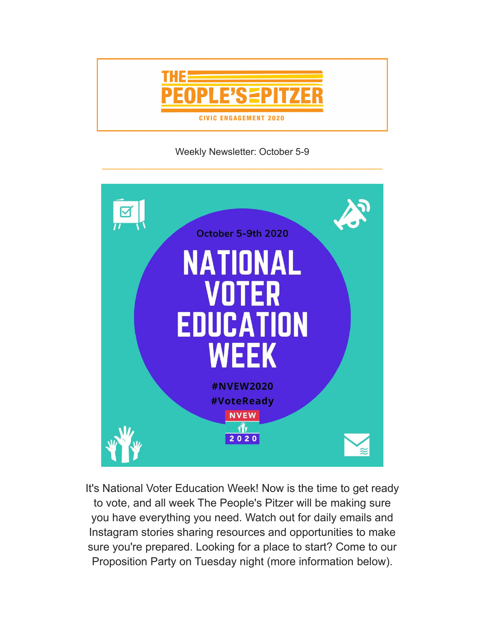

Weekly Newsletter: October 5-9



It's National Voter Education Week! Now is the time to get ready to vote, and all week The People's Pitzer will be making sure you have everything you need. Watch out for daily emails and Instagram stories sharing resources and opportunities to make sure you're prepared. Looking for a place to start? Come to our Proposition Party on Tuesday night (more information below).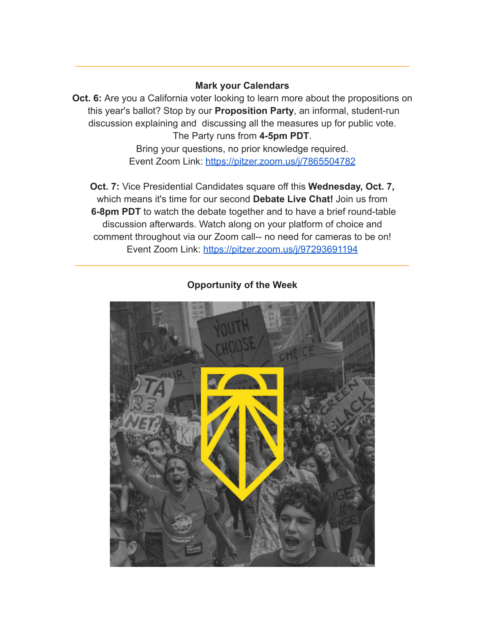## **Mark your Calendars**

\_\_\_\_\_\_\_\_\_\_\_\_\_\_\_\_\_\_\_\_\_\_\_\_\_\_\_\_\_\_\_\_\_\_\_\_\_\_\_\_\_\_\_\_\_\_\_\_\_\_\_\_\_\_\_\_\_\_\_\_\_\_\_\_\_\_\_\_\_

**Oct. 6:** Are you a California voter looking to learn more about the propositions on this year's ballot? Stop by our **Proposition Party**, an informal, student-run discussion explaining and discussing all the measures up for public vote. The Party runs from **4-5pm PDT**.

> Bring your questions, no prior knowledge required. Event Zoom Link: <https://pitzer.zoom.us/j/7865504782>

**Oct. 7:** Vice Presidential Candidates square off this **Wednesday, Oct. 7,** which means it's time for our second **Debate Live Chat!** Join us from **6-8pm PDT** to watch the debate together and to have a brief round-table discussion afterwards. Watch along on your platform of choice and comment throughout via our Zoom call-- no need for cameras to be on! Event Zoom Link: <https://pitzer.zoom.us/j/97293691194>



**Opportunity of the Week**

\_\_\_\_\_\_\_\_\_\_\_\_\_\_\_\_\_\_\_\_\_\_\_\_\_\_\_\_\_\_\_\_\_\_\_\_\_\_\_\_\_\_\_\_\_\_\_\_\_\_\_\_\_\_\_\_\_\_\_\_\_\_\_\_\_\_\_\_\_